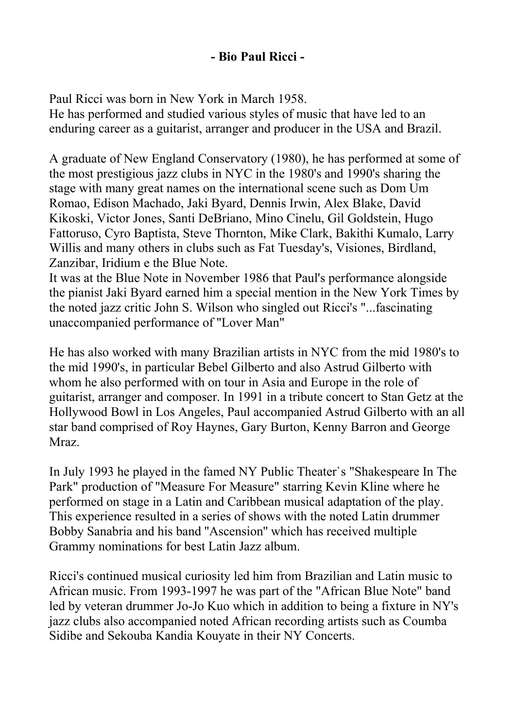## **- Bio Paul Ricci -**

Paul Ricci was born in New York in March 1958. He has performed and studied various styles of music that have led to an enduring career as a guitarist, arranger and producer in the USA and Brazil.

A graduate of New England Conservatory (1980), he has performed at some of the most prestigious jazz clubs in NYC in the 1980's and 1990's sharing the stage with many great names on the international scene such as Dom Um Romao, Edison Machado, Jaki Byard, Dennis Irwin, Alex Blake, David Kikoski, Victor Jones, Santi DeBriano, Mino Cinelu, Gil Goldstein, Hugo Fattoruso, Cyro Baptista, Steve Thornton, Mike Clark, Bakithi Kumalo, Larry Willis and many others in clubs such as Fat Tuesday's, Visiones, Birdland, Zanzibar, Iridium e the Blue Note.

It was at the Blue Note in November 1986 that Paul's performance alongside the pianist Jaki Byard earned him a special mention in the New York Times by the noted jazz critic John S. Wilson who singled out Ricci's "...fascinating unaccompanied performance of ''Lover Man"

He has also worked with many Brazilian artists in NYC from the mid 1980's to the mid 1990's, in particular Bebel Gilberto and also Astrud Gilberto with whom he also performed with on tour in Asia and Europe in the role of guitarist, arranger and composer. In 1991 in a tribute concert to Stan Getz at the Hollywood Bowl in Los Angeles, Paul accompanied Astrud Gilberto with an all star band comprised of Roy Haynes, Gary Burton, Kenny Barron and George Mraz.

In July 1993 he played in the famed NY Public Theater`s "Shakespeare In The Park" production of "Measure For Measure" starring Kevin Kline where he performed on stage in a Latin and Caribbean musical adaptation of the play. This experience resulted in a series of shows with the noted Latin drummer Bobby Sanabria and his band ''Ascension'' which has received multiple Grammy nominations for best Latin Jazz album.

Ricci's continued musical curiosity led him from Brazilian and Latin music to African music. From 1993-1997 he was part of the "African Blue Note" band led by veteran drummer Jo-Jo Kuo which in addition to being a fixture in NY's jazz clubs also accompanied noted African recording artists such as Coumba Sidibe and Sekouba Kandia Kouyate in their NY Concerts.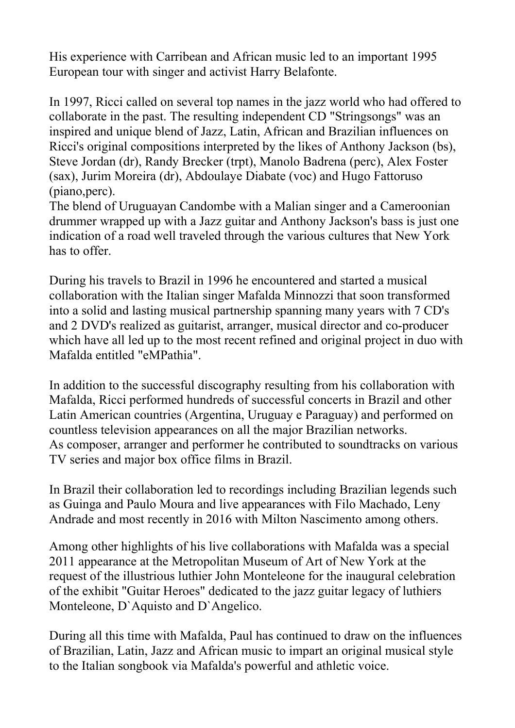His experience with Carribean and African music led to an important 1995 European tour with singer and activist Harry Belafonte.

In 1997, Ricci called on several top names in the jazz world who had offered to collaborate in the past. The resulting independent CD "Stringsongs" was an inspired and unique blend of Jazz, Latin, African and Brazilian influences on Ricci's original compositions interpreted by the likes of Anthony Jackson (bs), Steve Jordan (dr), Randy Brecker (trpt), Manolo Badrena (perc), Alex Foster (sax), Jurim Moreira (dr), Abdoulaye Diabate (voc) and Hugo Fattoruso (piano,perc).

The blend of Uruguayan Candombe with a Malian singer and a Cameroonian drummer wrapped up with a Jazz guitar and Anthony Jackson's bass is just one indication of a road well traveled through the various cultures that New York has to offer.

During his travels to Brazil in 1996 he encountered and started a musical collaboration with the Italian singer Mafalda Minnozzi that soon transformed into a solid and lasting musical partnership spanning many years with 7 CD's and 2 DVD's realized as guitarist, arranger, musical director and co-producer which have all led up to the most recent refined and original project in duo with Mafalda entitled "eMPathia".

In addition to the successful discography resulting from his collaboration with Mafalda, Ricci performed hundreds of successful concerts in Brazil and other Latin American countries (Argentina, Uruguay e Paraguay) and performed on countless television appearances on all the major Brazilian networks. As composer, arranger and performer he contributed to soundtracks on various TV series and major box office films in Brazil.

In Brazil their collaboration led to recordings including Brazilian legends such as Guinga and Paulo Moura and live appearances with Filo Machado, Leny Andrade and most recently in 2016 with Milton Nascimento among others.

Among other highlights of his live collaborations with Mafalda was a special 2011 appearance at the Metropolitan Museum of Art of New York at the request of the illustrious luthier John Monteleone for the inaugural celebration of the exhibit "Guitar Heroes" dedicated to the jazz guitar legacy of luthiers Monteleone, D`Aquisto and D`Angelico.

During all this time with Mafalda, Paul has continued to draw on the influences of Brazilian, Latin, Jazz and African music to impart an original musical style to the Italian songbook via Mafalda's powerful and athletic voice.